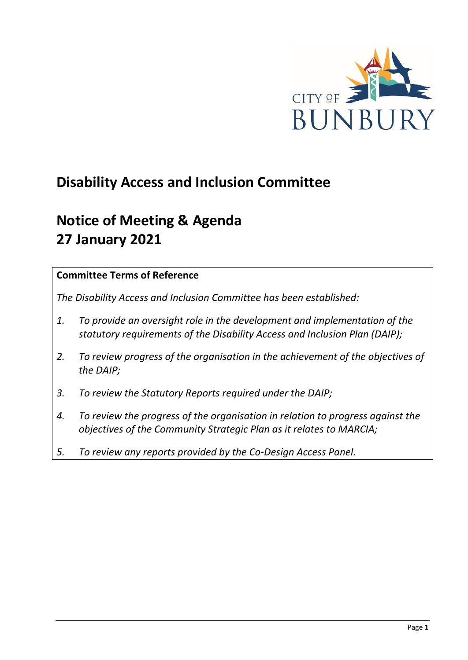

# **Disability Access and Inclusion Committee**

# **Notice of Meeting & Agenda 27 January 2021**

### **Committee Terms of Reference**

*The Disability Access and Inclusion Committee has been established:* 

- *1. To provide an oversight role in the development and implementation of the statutory requirements of the Disability Access and Inclusion Plan (DAIP);*
- *2. To review progress of the organisation in the achievement of the objectives of the DAIP;*
- *3. To review the Statutory Reports required under the DAIP;*
- *4. To review the progress of the organisation in relation to progress against the objectives of the Community Strategic Plan as it relates to MARCIA;*
- *5. To review any reports provided by the Co-Design Access Panel.*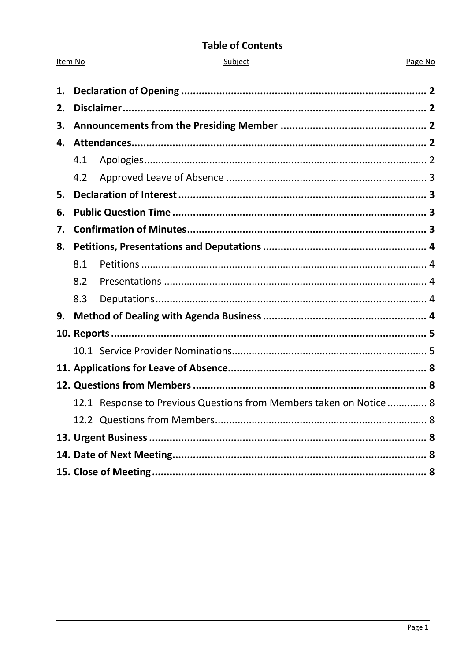### **Table of Contents**

Item No

### Page No

| 1. |     |                                                                     |  |  |
|----|-----|---------------------------------------------------------------------|--|--|
| 2. |     |                                                                     |  |  |
| 3. |     |                                                                     |  |  |
| 4. |     |                                                                     |  |  |
|    | 4.1 |                                                                     |  |  |
|    | 4.2 |                                                                     |  |  |
| 5. |     |                                                                     |  |  |
| 6. |     |                                                                     |  |  |
| 7. |     |                                                                     |  |  |
| 8. |     |                                                                     |  |  |
|    | 8.1 |                                                                     |  |  |
|    | 8.2 |                                                                     |  |  |
|    | 8.3 |                                                                     |  |  |
| 9. |     |                                                                     |  |  |
|    |     |                                                                     |  |  |
|    |     |                                                                     |  |  |
|    |     |                                                                     |  |  |
|    |     |                                                                     |  |  |
|    |     | 12.1 Response to Previous Questions from Members taken on Notice  8 |  |  |
|    |     |                                                                     |  |  |
|    |     |                                                                     |  |  |
|    |     |                                                                     |  |  |
|    |     |                                                                     |  |  |
|    |     |                                                                     |  |  |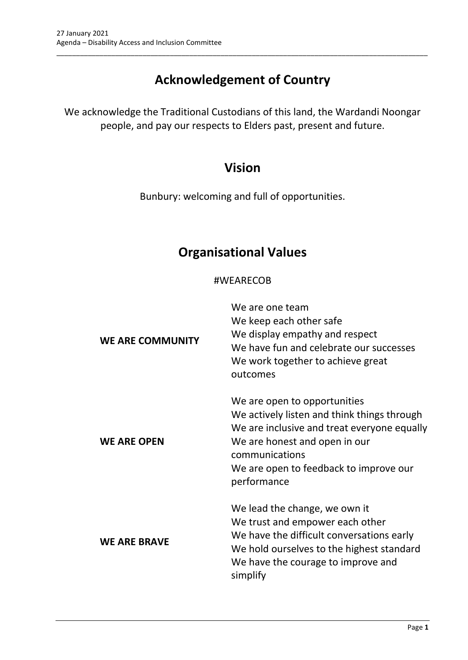# **Acknowledgement of Country**

\_\_\_\_\_\_\_\_\_\_\_\_\_\_\_\_\_\_\_\_\_\_\_\_\_\_\_\_\_\_\_\_\_\_\_\_\_\_\_\_\_\_\_\_\_\_\_\_\_\_\_\_\_\_\_\_\_\_\_\_\_\_\_\_\_\_\_\_\_\_\_\_\_\_\_\_\_\_\_\_\_\_\_\_\_\_\_\_\_\_\_\_\_\_\_

We acknowledge the Traditional Custodians of this land, the Wardandi Noongar people, and pay our respects to Elders past, present and future.

## **Vision**

Bunbury: welcoming and full of opportunities.

## **Organisational Values**

### #WEARECOB

| <b>WE ARE COMMUNITY</b> | We are one team<br>We keep each other safe<br>We display empathy and respect<br>We have fun and celebrate our successes<br>We work together to achieve great<br>outcomes                                                               |
|-------------------------|----------------------------------------------------------------------------------------------------------------------------------------------------------------------------------------------------------------------------------------|
| <b>WE ARE OPEN</b>      | We are open to opportunities<br>We actively listen and think things through<br>We are inclusive and treat everyone equally<br>We are honest and open in our<br>communications<br>We are open to feedback to improve our<br>performance |
| <b>WE ARE BRAVE</b>     | We lead the change, we own it<br>We trust and empower each other<br>We have the difficult conversations early<br>We hold ourselves to the highest standard<br>We have the courage to improve and<br>simplify                           |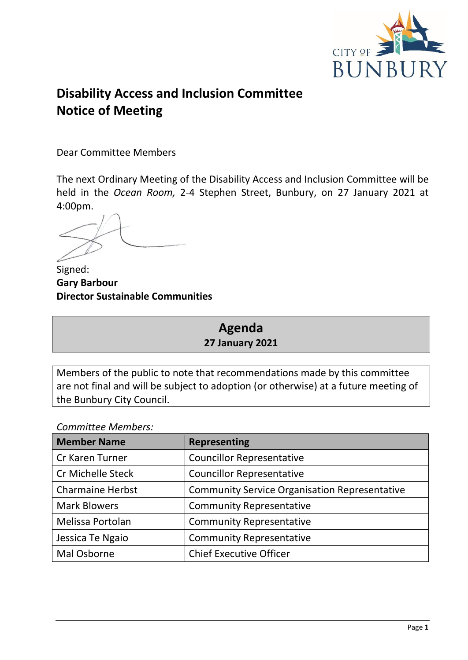

# **Disability Access and Inclusion Committee Notice of Meeting**

Dear Committee Members

The next Ordinary Meeting of the Disability Access and Inclusion Committee will be held in the *Ocean Room,* 2-4 Stephen Street, Bunbury, on 27 January 2021 at 4:00pm.

Signed: **Gary Barbour Director Sustainable Communities**

## **Agenda 27 January 2021**

Members of the public to note that recommendations made by this committee are not final and will be subject to adoption (or otherwise) at a future meeting of the Bunbury City Council.

### *Committee Members:*

| <b>Member Name</b>       | <b>Representing</b>                                  |
|--------------------------|------------------------------------------------------|
| Cr Karen Turner          | <b>Councillor Representative</b>                     |
| <b>Cr Michelle Steck</b> | <b>Councillor Representative</b>                     |
| <b>Charmaine Herbst</b>  | <b>Community Service Organisation Representative</b> |
| <b>Mark Blowers</b>      | <b>Community Representative</b>                      |
| Melissa Portolan         | <b>Community Representative</b>                      |
| Jessica Te Ngaio         | <b>Community Representative</b>                      |
| Mal Osborne              | <b>Chief Executive Officer</b>                       |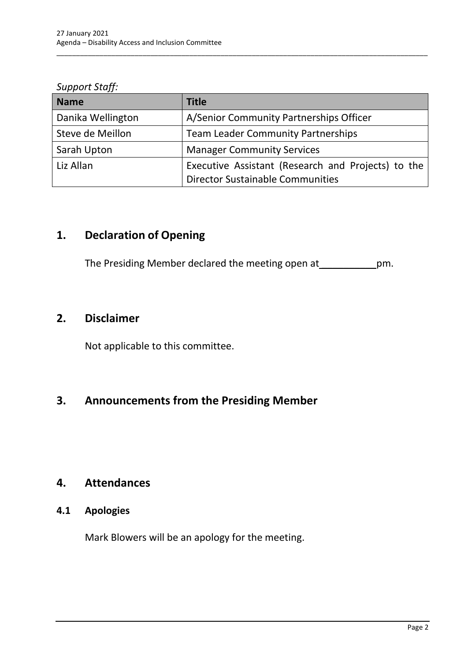*Support Staff:*

| <b>Name</b>       | <b>Title</b>                                       |
|-------------------|----------------------------------------------------|
| Danika Wellington | A/Senior Community Partnerships Officer            |
| Steve de Meillon  | <b>Team Leader Community Partnerships</b>          |
| Sarah Upton       | <b>Manager Community Services</b>                  |
| Liz Allan         | Executive Assistant (Research and Projects) to the |
|                   | <b>Director Sustainable Communities</b>            |

\_\_\_\_\_\_\_\_\_\_\_\_\_\_\_\_\_\_\_\_\_\_\_\_\_\_\_\_\_\_\_\_\_\_\_\_\_\_\_\_\_\_\_\_\_\_\_\_\_\_\_\_\_\_\_\_\_\_\_\_\_\_\_\_\_\_\_\_\_\_\_\_\_\_\_\_\_\_\_\_\_\_\_\_\_\_\_\_\_\_\_\_\_\_\_

## <span id="page-4-0"></span>**1. Declaration of Opening**

The Presiding Member declared the meeting open at \_\_\_\_\_\_\_\_\_\_\_\_\_\_pm.

## <span id="page-4-1"></span>**2. Disclaimer**

Not applicable to this committee.

## <span id="page-4-2"></span>**3. Announcements from the Presiding Member**

## <span id="page-4-3"></span>**4. Attendances**

### <span id="page-4-4"></span>**4.1 Apologies**

Mark Blowers will be an apology for the meeting.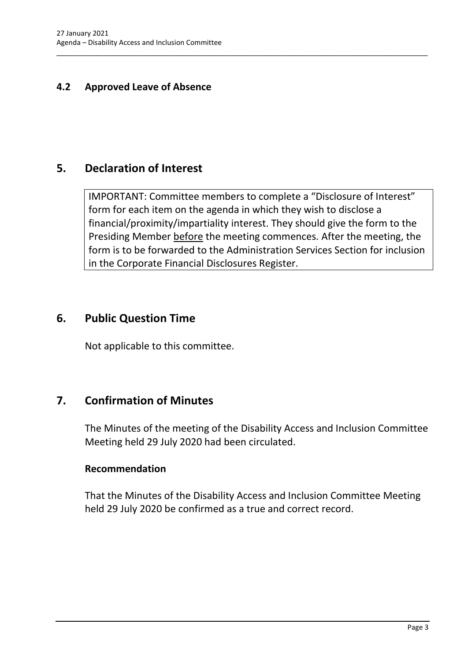### <span id="page-5-0"></span>**4.2 Approved Leave of Absence**

## <span id="page-5-1"></span>**5. Declaration of Interest**

IMPORTANT: Committee members to complete a "Disclosure of Interest" form for each item on the agenda in which they wish to disclose a financial/proximity/impartiality interest. They should give the form to the Presiding Member before the meeting commences. After the meeting, the form is to be forwarded to the Administration Services Section for inclusion in the Corporate Financial Disclosures Register.

\_\_\_\_\_\_\_\_\_\_\_\_\_\_\_\_\_\_\_\_\_\_\_\_\_\_\_\_\_\_\_\_\_\_\_\_\_\_\_\_\_\_\_\_\_\_\_\_\_\_\_\_\_\_\_\_\_\_\_\_\_\_\_\_\_\_\_\_\_\_\_\_\_\_\_\_\_\_\_\_\_\_\_\_\_\_\_\_\_\_\_\_\_\_\_

## <span id="page-5-2"></span>**6. Public Question Time**

Not applicable to this committee.

## <span id="page-5-3"></span>**7. Confirmation of Minutes**

The Minutes of the meeting of the Disability Access and Inclusion Committee Meeting held 29 July 2020 had been circulated.

### **Recommendation**

That the Minutes of the Disability Access and Inclusion Committee Meeting held 29 July 2020 be confirmed as a true and correct record.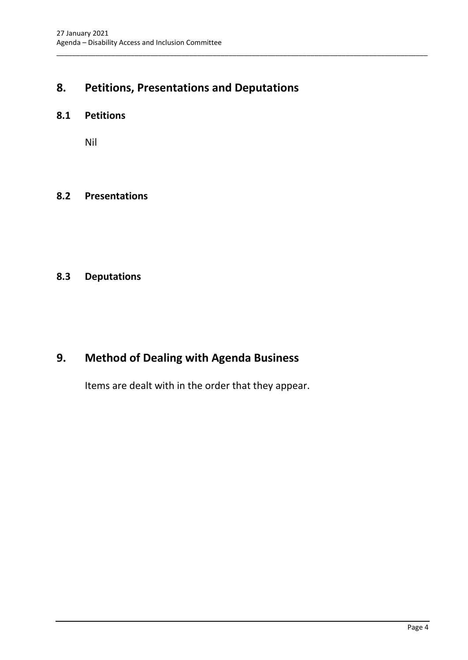## <span id="page-6-0"></span>**8. Petitions, Presentations and Deputations**

\_\_\_\_\_\_\_\_\_\_\_\_\_\_\_\_\_\_\_\_\_\_\_\_\_\_\_\_\_\_\_\_\_\_\_\_\_\_\_\_\_\_\_\_\_\_\_\_\_\_\_\_\_\_\_\_\_\_\_\_\_\_\_\_\_\_\_\_\_\_\_\_\_\_\_\_\_\_\_\_\_\_\_\_\_\_\_\_\_\_\_\_\_\_\_

### <span id="page-6-1"></span>**8.1 Petitions**

Nil

#### <span id="page-6-2"></span>**8.2 Presentations**

## <span id="page-6-3"></span>**8.3 Deputations**

## <span id="page-6-4"></span>**9. Method of Dealing with Agenda Business**

Items are dealt with in the order that they appear.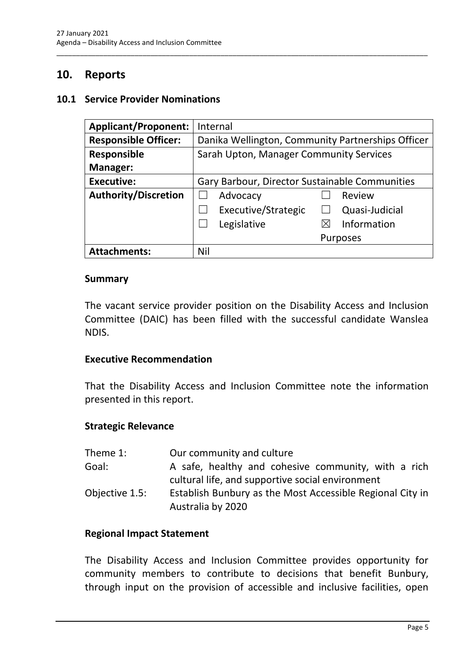## <span id="page-7-0"></span>**10. Reports**

#### <span id="page-7-1"></span>**10.1 Service Provider Nominations**

| <b>Applicant/Proponent:</b> | Internal                                          |
|-----------------------------|---------------------------------------------------|
| <b>Responsible Officer:</b> | Danika Wellington, Community Partnerships Officer |
| <b>Responsible</b>          | Sarah Upton, Manager Community Services           |
| Manager:                    |                                                   |
| <b>Executive:</b>           | Gary Barbour, Director Sustainable Communities    |
| <b>Authority/Discretion</b> | Review<br>Advocacy                                |
|                             | Executive/Strategic<br>Quasi-Judicial             |
|                             | Information<br>Legislative<br>$\boxtimes$         |
|                             | <b>Purposes</b>                                   |
| <b>Attachments:</b>         | Nil                                               |

\_\_\_\_\_\_\_\_\_\_\_\_\_\_\_\_\_\_\_\_\_\_\_\_\_\_\_\_\_\_\_\_\_\_\_\_\_\_\_\_\_\_\_\_\_\_\_\_\_\_\_\_\_\_\_\_\_\_\_\_\_\_\_\_\_\_\_\_\_\_\_\_\_\_\_\_\_\_\_\_\_\_\_\_\_\_\_\_\_\_\_\_\_\_\_

#### **Summary**

The vacant service provider position on the Disability Access and Inclusion Committee (DAIC) has been filled with the successful candidate Wanslea NDIS.

#### **Executive Recommendation**

That the Disability Access and Inclusion Committee note the information presented in this report.

#### **Strategic Relevance**

| Theme 1:       | Our community and culture                                                                               |
|----------------|---------------------------------------------------------------------------------------------------------|
| Goal:          | A safe, healthy and cohesive community, with a rich<br>cultural life, and supportive social environment |
| Objective 1.5: | Establish Bunbury as the Most Accessible Regional City in<br>Australia by 2020                          |

#### **Regional Impact Statement**

The Disability Access and Inclusion Committee provides opportunity for community members to contribute to decisions that benefit Bunbury, through input on the provision of accessible and inclusive facilities, open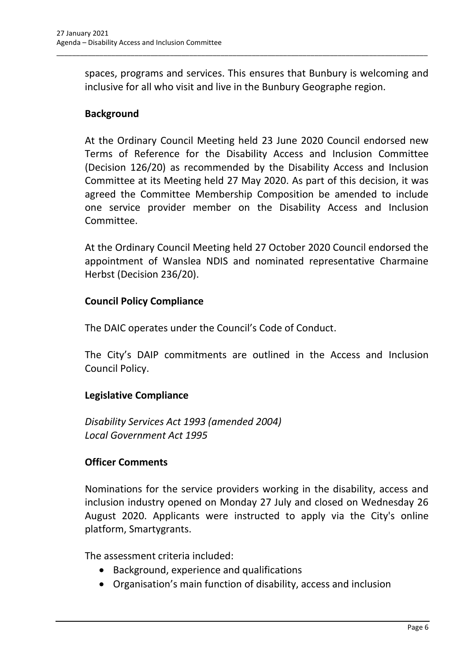spaces, programs and services. This ensures that Bunbury is welcoming and inclusive for all who visit and live in the Bunbury Geographe region.

\_\_\_\_\_\_\_\_\_\_\_\_\_\_\_\_\_\_\_\_\_\_\_\_\_\_\_\_\_\_\_\_\_\_\_\_\_\_\_\_\_\_\_\_\_\_\_\_\_\_\_\_\_\_\_\_\_\_\_\_\_\_\_\_\_\_\_\_\_\_\_\_\_\_\_\_\_\_\_\_\_\_\_\_\_\_\_\_\_\_\_\_\_\_\_

### **Background**

At the Ordinary Council Meeting held 23 June 2020 Council endorsed new Terms of Reference for the Disability Access and Inclusion Committee (Decision 126/20) as recommended by the Disability Access and Inclusion Committee at its Meeting held 27 May 2020. As part of this decision, it was agreed the Committee Membership Composition be amended to include one service provider member on the Disability Access and Inclusion Committee.

At the Ordinary Council Meeting held 27 October 2020 Council endorsed the appointment of Wanslea NDIS and nominated representative Charmaine Herbst (Decision 236/20).

### **Council Policy Compliance**

The DAIC operates under the Council's Code of Conduct.

The City's DAIP commitments are outlined in the Access and Inclusion Council Policy.

## **Legislative Compliance**

*Disability Services Act 1993 (amended 2004) Local Government Act 1995*

## **Officer Comments**

Nominations for the service providers working in the disability, access and inclusion industry opened on Monday 27 July and closed on Wednesday 26 August 2020. Applicants were instructed to apply via the City's online platform, Smartygrants.

The assessment criteria included:

- Background, experience and qualifications
- Organisation's main function of disability, access and inclusion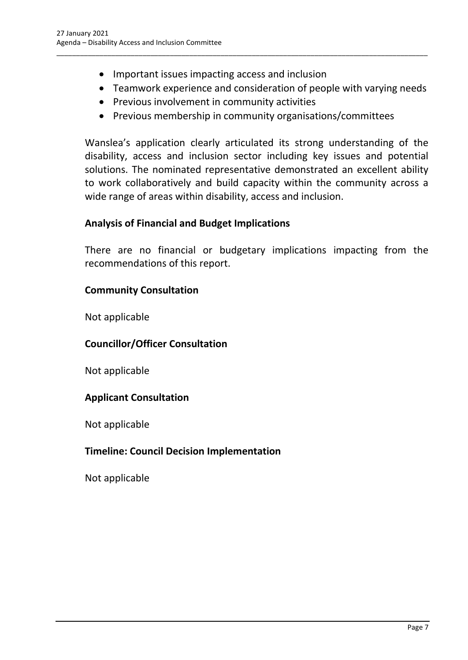- Important issues impacting access and inclusion
- Teamwork experience and consideration of people with varying needs
- Previous involvement in community activities
- Previous membership in community organisations/committees

\_\_\_\_\_\_\_\_\_\_\_\_\_\_\_\_\_\_\_\_\_\_\_\_\_\_\_\_\_\_\_\_\_\_\_\_\_\_\_\_\_\_\_\_\_\_\_\_\_\_\_\_\_\_\_\_\_\_\_\_\_\_\_\_\_\_\_\_\_\_\_\_\_\_\_\_\_\_\_\_\_\_\_\_\_\_\_\_\_\_\_\_\_\_\_

Wanslea's application clearly articulated its strong understanding of the disability, access and inclusion sector including key issues and potential solutions. The nominated representative demonstrated an excellent ability to work collaboratively and build capacity within the community across a wide range of areas within disability, access and inclusion.

## **Analysis of Financial and Budget Implications**

There are no financial or budgetary implications impacting from the recommendations of this report.

## **Community Consultation**

Not applicable

## **Councillor/Officer Consultation**

Not applicable

## **Applicant Consultation**

Not applicable

## **Timeline: Council Decision Implementation**

Not applicable